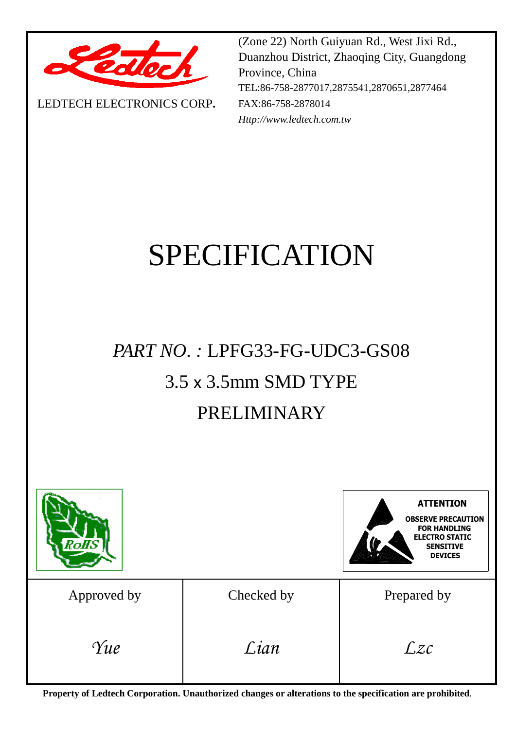

LEDTECH ELECTRONICS CORP**.**

(Zone 22) North Guiyuan Rd., West Jixi Rd., Duanzhou District, Zhaoqing City, Guangdong Province, China TEL:86-758-2877017,2875541,2870651,2877464 FAX:86-758-2878014 *Http://www.ledtech.com.tw*

# SPECIFICATION

## *PART NO. :* LPFG33-FG-UDC3-GS08 3.5 x 3.5mm SMD TYPE PRELIMINARY



**Property of Ledtech Corporation. Unauthorized changes or alterations to the specification are prohibited***.*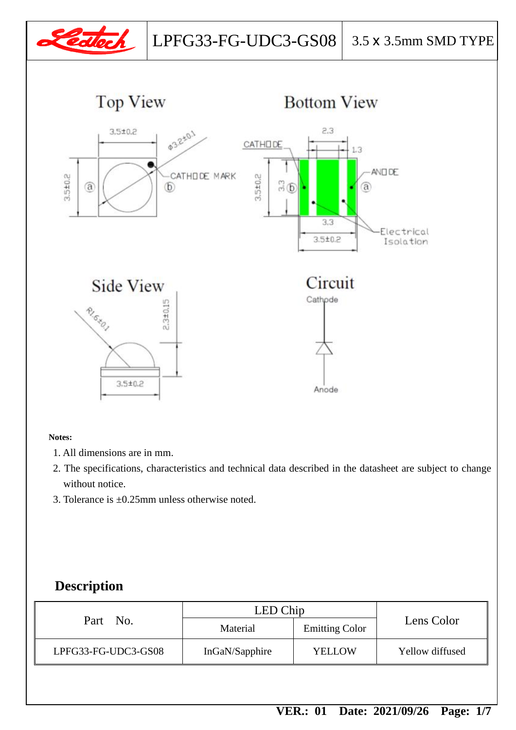



## **Bottom View**



#### **Notes:**

- 1. All dimensions are in mm.
- 2. The specifications, characteristics and technical data described in the datasheet are subject to change without notice.
- 3. Tolerance is  $\pm 0.25$ mm unless otherwise noted.

#### **Description**

|                     | LED Chip                          |               | Lens Color      |  |
|---------------------|-----------------------------------|---------------|-----------------|--|
| Part No.            | <b>Emitting Color</b><br>Material |               |                 |  |
| LPFG33-FG-UDC3-GS08 | InGaN/Sapphire                    | <b>YELLOW</b> | Yellow diffused |  |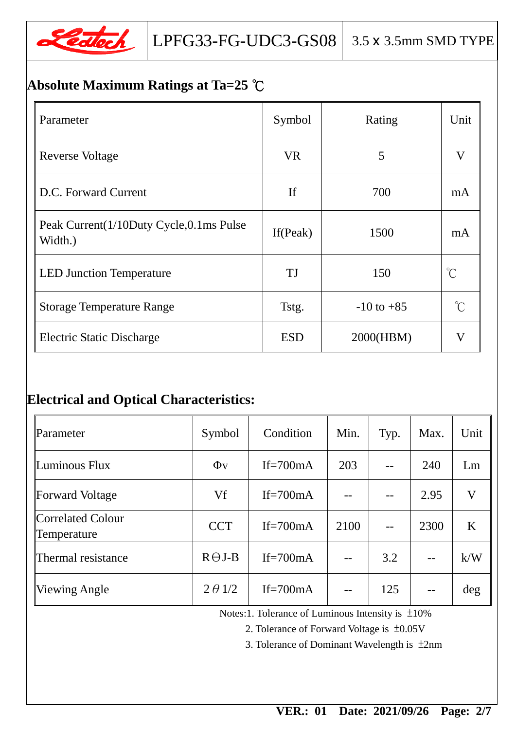

## **Absolute Maximum Ratings at Ta=25** ℃

| Parameter                                          | Symbol      | Rating         | Unit                 |
|----------------------------------------------------|-------------|----------------|----------------------|
| <b>Reverse Voltage</b>                             | <b>VR</b>   | 5              | $\bf V$              |
| D.C. Forward Current                               | <b>If</b>   | 700            | mA                   |
| Peak Current(1/10Duty Cycle,0.1ms Pulse<br>Width.) | If $(Peak)$ | 1500           | mA                   |
| <b>LED Junction Temperature</b>                    | TJ          | 150            | $\mathrm{C}^{\circ}$ |
| <b>Storage Temperature Range</b>                   | Tstg.       | $-10$ to $+85$ | $\int_{0}^{\infty}$  |
| <b>Electric Static Discharge</b>                   | <b>ESD</b>  | 2000(HBM)      | $\bf V$              |

### **Electrical and Optical Characteristics:**

| Parameter                        | Symbol         | Condition   | Min. | Typ. | Max. | Unit |
|----------------------------------|----------------|-------------|------|------|------|------|
| Luminous Flux                    | $\Phi$ v       | If= $700mA$ | 203  |      | 240  | Lm   |
| Forward Voltage                  | Vf             | If= $700mA$ |      |      | 2.95 | V    |
| Correlated Colour<br>Temperature | <b>CCT</b>     | If= $700mA$ | 2100 |      | 2300 | K    |
| Thermal resistance               | $R\Theta J-B$  | If= $700mA$ | $-$  | 3.2  |      | k/W  |
| <b>Viewing Angle</b>             | $2 \theta$ 1/2 | If= $700mA$ |      | 125  |      | deg  |

Notes:1. Tolerance of Luminous Intensity is ±10%

2. Tolerance of Forward Voltage is ±0.05V

3. Tolerance of Dominant Wavelength is ±2nm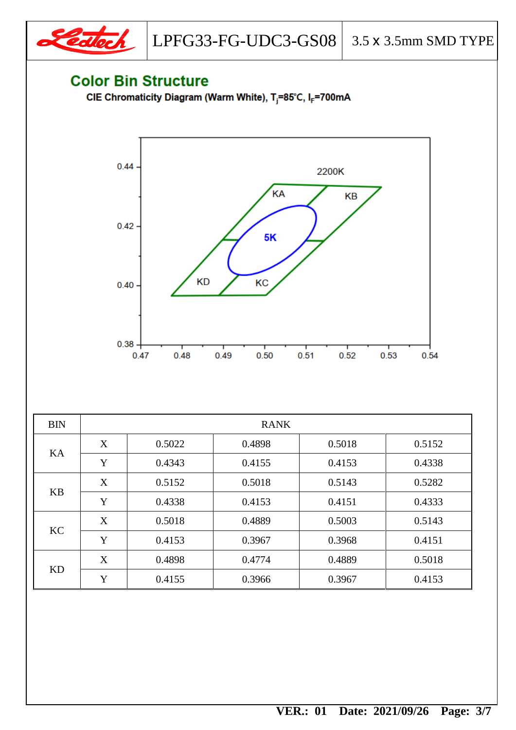

LPFG33-FG-UDC3-GS08  $\vert$  3.5 x 3.5mm SMD TYPE

## **Color Bin Structure**

CIE Chromaticity Diagram (Warm White), T<sub>j</sub>=85°C, I<sub>F</sub>=700mA



| <b>BIN</b> | <b>RANK</b> |        |        |        |        |
|------------|-------------|--------|--------|--------|--------|
| KA         | X           | 0.5022 | 0.4898 | 0.5018 | 0.5152 |
|            | Y           | 0.4343 | 0.4155 | 0.4153 | 0.4338 |
| <b>KB</b>  | X           | 0.5152 | 0.5018 | 0.5143 | 0.5282 |
|            | Y           | 0.4338 | 0.4153 | 0.4151 | 0.4333 |
| KC         | X           | 0.5018 | 0.4889 | 0.5003 | 0.5143 |
|            | Y           | 0.4153 | 0.3967 | 0.3968 | 0.4151 |
| <b>KD</b>  | X           | 0.4898 | 0.4774 | 0.4889 | 0.5018 |
|            | Y           | 0.4155 | 0.3966 | 0.3967 | 0.4153 |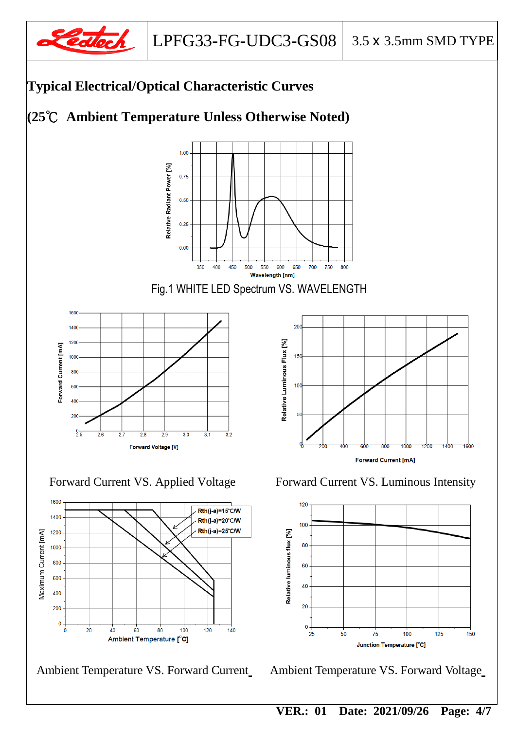

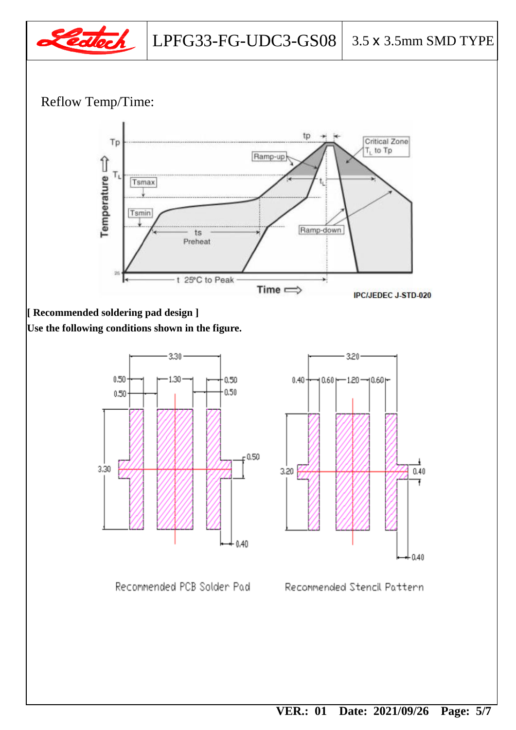

#### Reflow Temp/Time:



#### **[ Recommended soldering pad design ]**

**Use the following conditions shown in the figure.**



Recommended PCB Solder Pad



Recommended Stencil Pattern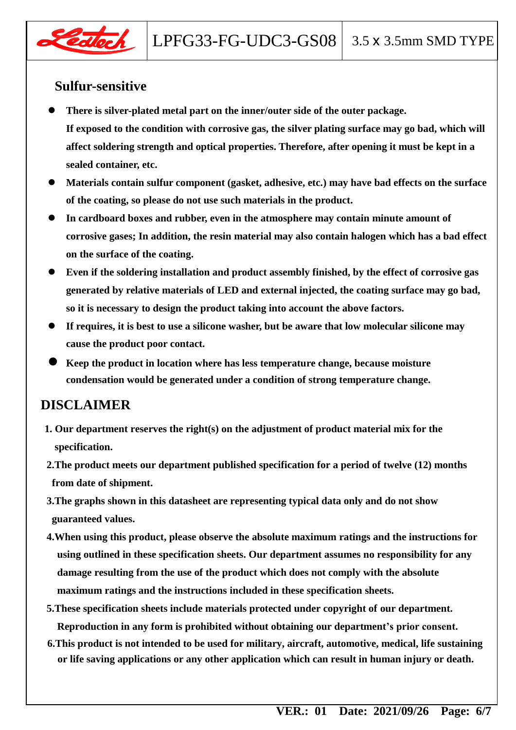

#### **Sulfur-sensitive**

- **There is silver-plated metal part on the inner/outer side of the outer package. If exposed to the condition with corrosive gas, the silver plating surface may go bad, which will affect soldering strength and optical properties. Therefore, after opening it must be kept in a sealed container, etc.**
- **Materials contain sulfur component (gasket, adhesive, etc.) may have bad effects on the surface of the coating, so please do not use such materials in the product.**
- **In cardboard boxes and rubber, even in the atmosphere may contain minute amount of corrosive gases; In addition, the resin material may also contain halogen which has a bad effect on the surface of the coating.**
- **Even if the soldering installation and product assembly finished, by the effect of corrosive gas generated by relative materials of LED and external injected, the coating surface may go bad, so it is necessary to design the product taking into account the above factors.**
- **If requires, it is best to use a silicone washer, but be aware that low molecular silicone may cause the product poor contact.**
- **Keep the product in location where has less temperature change, because moisture condensation would be generated under a condition of strong temperature change.**

#### **DISCLAIMER**

- **1. Our department reserves the right(s) on the adjustment of product material mix for the specification.**
- **2.The product meets our department published specification for a period of twelve (12) months from date of shipment.**
- **3.The graphs shown in this datasheet are representing typical data only and do not show guaranteed values.**
- **4.When using this product, please observe the absolute maximum ratings and the instructions for using outlined in these specification sheets. Our department assumes no responsibility for any damage resulting from the use of the product which does not comply with the absolute maximum ratings and the instructions included in these specification sheets.**
- **5.These specification sheets include materials protected under copyright of our department. Reproduction in any form is prohibited without obtaining our department's prior consent.**
- **6.This product is not intended to be used for military, aircraft, automotive, medical, life sustaining or life saving applications or any other application which can result in human injury or death.**